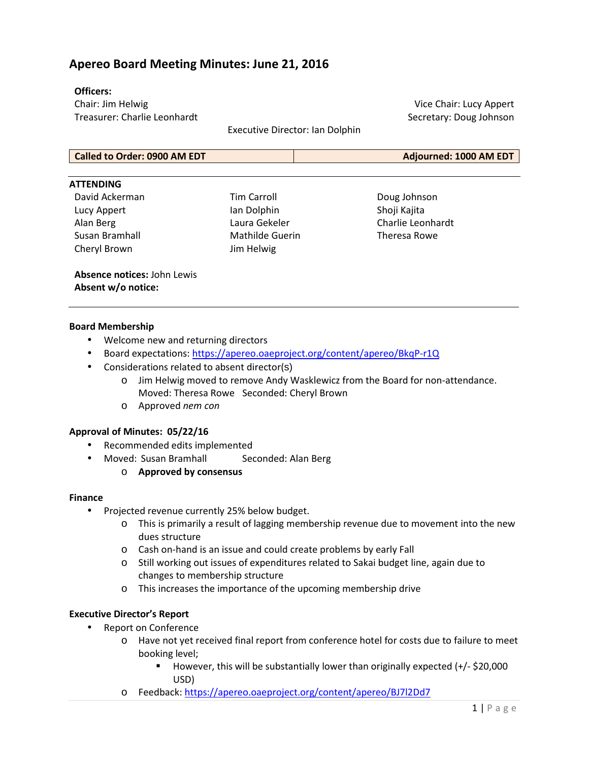## **Apereo Board Meeting Minutes: June 21, 2016**

#### **Officers:**

Chair: Jim Helwig Treasurer: Charlie Leonhardt

Executive Director: Ian Dolphin

Vice Chair: Lucy Appert Secretary: Doug Johnson

| <b>Called to Order: 0900 AM EDT</b> | Adjourned: 1000 AM EDT |
|-------------------------------------|------------------------|

#### **ATTENDING**

David Ackerman Lucy Appert Alan Berg Susan Bramhall Cheryl Brown

Tim Carroll Ian Dolphin Laura Gekeler Mathilde Guerin Jim Helwig

Doug Johnson Shoji Kajita Charlie Leonhardt Theresa Rowe

**Absence notices:** John Lewis **Absent w/o notice:**

#### **Board Membership**

- Welcome new and returning directors
- Board expectations: https://apereo.oaeproject.org/content/apereo/BkqP-r1Q
- Considerations related to absent director(s)
	- o Jim Helwig moved to remove Andy Wasklewicz from the Board for non-attendance. Moved: Theresa Rowe Seconded: Cheryl Brown
	- o Approved *nem con*

#### **Approval of Minutes: 05/22/16**

- Recommended edits implemented
- Moved: Susan Bramhall Seconded: Alan Berg
	- o **Approved by consensus**

#### **Finance**

- Projected revenue currently 25% below budget.
	- o This is primarily a result of lagging membership revenue due to movement into the new dues structure
	- o Cash on-hand is an issue and could create problems by early Fall
	- o Still working out issues of expenditures related to Sakai budget line, again due to changes to membership structure
	- o This increases the importance of the upcoming membership drive

### **Executive Director's Report**

- Report on Conference
	- o Have not yet received final report from conference hotel for costs due to failure to meet booking level;
		- However, this will be substantially lower than originally expected  $(+/-$  \$20,000 USD)
	- o Feedback: https://apereo.oaeproject.org/content/apereo/BJ7l2Dd7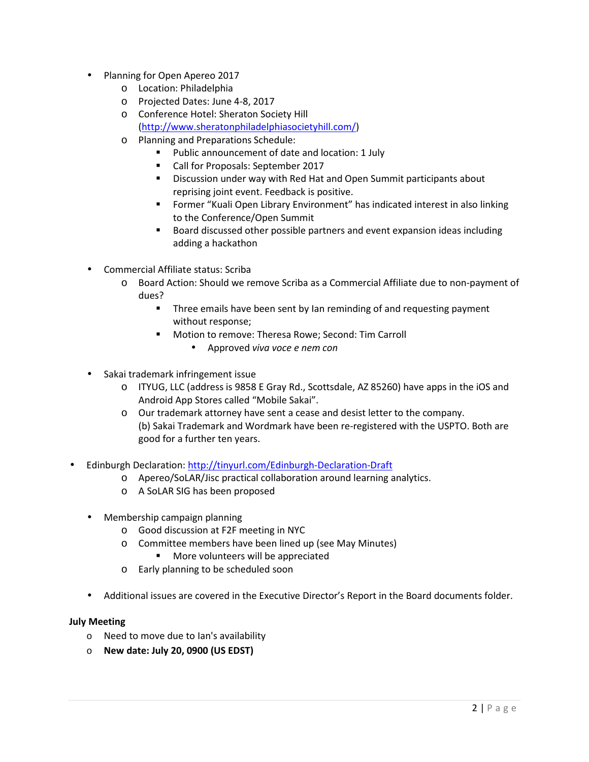- Planning for Open Apereo 2017
	- o Location: Philadelphia
	- o Projected Dates: June 4-8, 2017
	- o Conference Hotel: Sheraton Society Hill (http://www.sheratonphiladelphiasocietyhill.com/)
	- o Planning and Preparations Schedule:
		- Public announcement of date and location: 1 July
		- **Call for Proposals: September 2017**
		- **Discussion under way with Red Hat and Open Summit participants about** reprising joint event. Feedback is positive.
		- **FIGHT FORM THE INCO CONTEGRY CONTEX FIGHTS IN THE PROPERT FIGHTS IN FIGHTS IN FIGHTS IN FIGHTS IN FIGHTS IN FIGHTS IN FIGHTS IN FIGHTS IN FIGHTS IN FIGHTS IN FIGHTS IN FIGHTS IN FIGHTS IN FIGHTS IN FIGHTS IN FIGHTS IN FIG** to the Conference/Open Summit
		- Board discussed other possible partners and event expansion ideas including adding a hackathon
- Commercial Affiliate status: Scriba
	- o Board Action: Should we remove Scriba as a Commercial Affiliate due to non-payment of dues?
		- Three emails have been sent by Ian reminding of and requesting payment without response;
		- **Motion to remove: Theresa Rowe; Second: Tim Carroll** 
			- Approved *viva voce e nem con*
- Sakai trademark infringement issue
	- o ITYUG, LLC (address is 9858 E Gray Rd., Scottsdale, AZ 85260) have apps in the iOS and Android App Stores called "Mobile Sakai".
	- o Our trademark attorney have sent a cease and desist letter to the company. (b) Sakai Trademark and Wordmark have been re-registered with the USPTO. Both are good for a further ten years.
- Edinburgh Declaration: http://tinyurl.com/Edinburgh-Declaration-Draft
	- o Apereo/SoLAR/Jisc practical collaboration around learning analytics.
	- o A SoLAR SIG has been proposed
	- Membership campaign planning
		- o Good discussion at F2F meeting in NYC
		- o Committee members have been lined up (see May Minutes)
			- More volunteers will be appreciated
		- o Early planning to be scheduled soon
	- Additional issues are covered in the Executive Director's Report in the Board documents folder.

#### **July Meeting**

- o Need to move due to Ian's availability
- o **New date: July 20, 0900 (US EDST)**